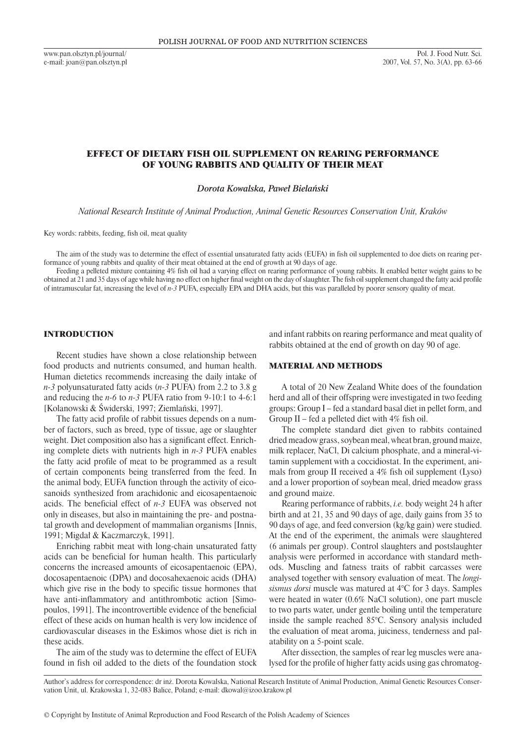www.pan.olsztyn.pl/journal/ e-mail: joan@pan.olsztyn.pl

# EFFECT OF DIETARY FISH OIL SUPPLEMENT ON REARING PERFORMANCE OF YOUNG RABBITS AND QUALITY OF THEIR MEAT

*Dorota Kowalska, Paweł Bielański*

*National Research Institute of Animal Production, Animal Genetic Resources Conservation Unit, Kraków*

Key words: rabbits, feeding, fish oil, meat quality

The aim of the study was to determine the effect of essential unsaturated fatty acids (EUFA) in fish oil supplemented to doe diets on rearing performance of young rabbits and quality of their meat obtained at the end of growth at 90 days of age.

Feeding a pelleted mixture containing 4% fish oil had a varying effect on rearing performance of young rabbits. It enabled better weight gains to be obtained at 21 and 35 days of age while having no effect on higher final weight on the day of slaughter. The fish oil supplement changed the fatty acid profile of intramuscular fat, increasing the level of *n-3* PUFA, especially EPA and DHA acids, but this was paralleled by poorer sensory quality of meat.

## INTRODUCTION

Recent studies have shown a close relationship between food products and nutrients consumed, and human health. Human dietetics recommends increasing the daily intake of *n-3* polyunsaturated fatty acids (*n-3* PUFA) from 2.2 to 3.8 g and reducing the *n-6* to *n-3* PUFA ratio from 9-10:1 to 4-6:1 [Kolanowski & Świderski, 1997; Ziemlański, 1997].

The fatty acid profile of rabbit tissues depends on a number of factors, such as breed, type of tissue, age or slaughter weight. Diet composition also has a significant effect. Enriching complete diets with nutrients high in *n-3* PUFA enables the fatty acid profile of meat to be programmed as a result of certain components being transferred from the feed. In the animal body, EUFA function through the activity of eicosanoids synthesized from arachidonic and eicosapentaenoic acids. The beneficial effect of *n-3* EUFA was observed not only in diseases, but also in maintaining the pre- and postnatal growth and development of mammalian organisms [Innis, 1991; Migdał & Kaczmarczyk, 1991].

Enriching rabbit meat with long-chain unsaturated fatty acids can be beneficial for human health. This particularly concerns the increased amounts of eicosapentaenoic (EPA), docosapentaenoic (DPA) and docosahexaenoic acids (DHA) which give rise in the body to specific tissue hormones that have anti-inflammatory and antithrombotic action [Simopoulos, 1991]. The incontrovertible evidence of the beneficial effect of these acids on human health is very low incidence of cardiovascular diseases in the Eskimos whose diet is rich in these acids.

The aim of the study was to determine the effect of EUFA found in fish oil added to the diets of the foundation stock

and infant rabbits on rearing performance and meat quality of rabbits obtained at the end of growth on day 90 of age.

# MATERIAL AND METHODS

A total of 20 New Zealand White does of the foundation herd and all of their offspring were investigated in two feeding groups: Group I – fed a standard basal diet in pellet form, and Group II – fed a pelleted diet with 4% fish oil.

The complete standard diet given to rabbits contained dried meadow grass, soybean meal, wheat bran, ground maize, milk replacer, NaCl, Di calcium phosphate, and a mineral-vitamin supplement with a coccidiostat. In the experiment, animals from group II received a 4% fish oil supplement (Lyso) and a lower proportion of soybean meal, dried meadow grass and ground maize.

Rearing performance of rabbits, *i.e.* body weight 24 h after birth and at 21, 35 and 90 days of age, daily gains from 35 to 90 days of age, and feed conversion (kg/kg gain) were studied. At the end of the experiment, the animals were slaughtered (6 animals per group). Control slaughters and postslaughter analysis were performed in accordance with standard methods. Muscling and fatness traits of rabbit carcasses were analysed together with sensory evaluation of meat. The *longisismus dorsi* muscle was matured at 4°C for 3 days. Samples were heated in water (0.6% NaCl solution), one part muscle to two parts water, under gentle boiling until the temperature inside the sample reached 85°C. Sensory analysis included the evaluation of meat aroma, juiciness, tenderness and palatability on a 5-point scale.

After dissection, the samples of rear leg muscles were analysed for the profile of higher fatty acids using gas chromatog-

Author's address for correspondence: dr inż. Dorota Kowalska, National Research Institute of Animal Production, Animal Genetic Resources Conservation Unit, ul. Krakowska 1, 32-083 Balice, Poland; e-mail: dkowal@izoo.krakow.pl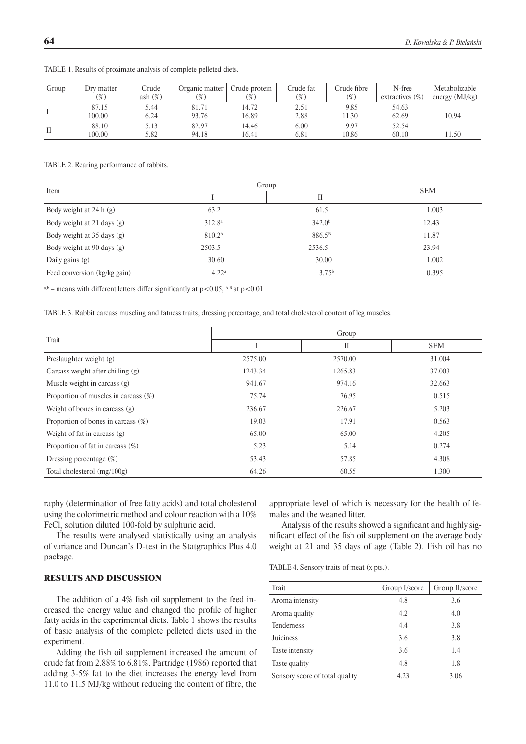| Group | Dry matter | Crude      | Organic matter | Crude protein | Crude fat     | Crude fibre | N-free             | Metabolizable    |
|-------|------------|------------|----------------|---------------|---------------|-------------|--------------------|------------------|
|       | (%)        | ash $(\%)$ | $\frac{1}{2}$  | (%)           | $\frac{1}{2}$ | $(\%)$      | extractives $(\%)$ | energy $(MJ/kg)$ |
|       | 87.15      | 5.44       | 81.71          | 14.72         | 2.51          | 9.85        | 54.63              |                  |
|       | 100.00     | 6.24       | 93.76          | 16.89         | 2.88          | 1.30        | 62.69              | 10.94            |
|       | 88.10      | 5.13       | 82.97          | 14.46         | 6.00          | 9.97        | 52.54              |                  |
| П     | 100.00     | 5.82       | 94.18          | 16.41         | 6.81          | 10.86       | 60.10              | 11.50            |

Table 1. Results of proximate analysis of complete pelleted diets.

### Table 2. Rearing performance of rabbits.

| Item                         | Group              | <b>SEM</b>         |       |
|------------------------------|--------------------|--------------------|-------|
|                              | П                  |                    |       |
| Body weight at 24 h (g)      | 63.2               | 61.5               | 1.003 |
| Body weight at 21 days (g)   | 312.8 <sup>a</sup> | 342.0 <sup>b</sup> | 12.43 |
| Body weight at 35 days (g)   | 810.2 <sup>A</sup> | 886.5 <sup>B</sup> | 11.87 |
| Body weight at 90 days (g)   | 2503.5             | 2536.5             | 23.94 |
| Daily gains (g)              | 30.60              | 30.00              | 1.002 |
| Feed conversion (kg/kg gain) | 4.22 <sup>a</sup>  | 3.75 <sup>b</sup>  | 0.395 |

a,b – means with different letters differ significantly at  $p<0.05$ , A,B at  $p<0.01$ 

Table 3. Rabbit carcass muscling and fatness traits, dressing percentage, and total cholesterol content of leg muscles.

| Trait                                   | Group   |         |            |  |  |
|-----------------------------------------|---------|---------|------------|--|--|
|                                         |         | П       | <b>SEM</b> |  |  |
| Preslaughter weight (g)                 | 2575.00 | 2570.00 | 31.004     |  |  |
| Carcass weight after chilling (g)       | 1243.34 | 1265.83 | 37.003     |  |  |
| Muscle weight in carcass (g)            | 941.67  | 974.16  | 32.663     |  |  |
| Proportion of muscles in carcass $(\%)$ | 75.74   | 76.95   | 0.515      |  |  |
| Weight of bones in carcass $(g)$        | 236.67  | 226.67  | 5.203      |  |  |
| Proportion of bones in carcass $(\%)$   | 19.03   | 17.91   | 0.563      |  |  |
| Weight of fat in carcass $(g)$          | 65.00   | 65.00   | 4.205      |  |  |
| Proportion of fat in carcass $(\%)$     | 5.23    | 5.14    | 0.274      |  |  |
| Dressing percentage $(\%)$              | 53.43   | 57.85   | 4.308      |  |  |
| Total cholesterol $(mg/100g)$           | 64.26   | 60.55   | 1.300      |  |  |

raphy (determination of free fatty acids) and total cholesterol using the colorimetric method and colour reaction with a 10%  $\text{FeCl}_3$  solution diluted 100-fold by sulphuric acid.

The results were analysed statistically using an analysis of variance and Duncan's D-test in the Statgraphics Plus 4.0 package.

## RESULTS AND DISCUSSION

The addition of a 4% fish oil supplement to the feed increased the energy value and changed the profile of higher fatty acids in the experimental diets. Table 1 shows the results of basic analysis of the complete pelleted diets used in the experiment.

Adding the fish oil supplement increased the amount of crude fat from 2.88% to 6.81%. Partridge (1986) reported that adding 3-5% fat to the diet increases the energy level from 11.0 to 11.5 MJ/kg without reducing the content of fibre, the appropriate level of which is necessary for the health of females and the weaned litter.

Analysis of the results showed a significant and highly significant effect of the fish oil supplement on the average body weight at 21 and 35 days of age (Table 2). Fish oil has no

Table 4. Sensory traits of meat (x pts.).

| Trait                          | Group I/score | Group II/score |
|--------------------------------|---------------|----------------|
| Aroma intensity                | 4.8           | 3.6            |
| Aroma quality                  | 4.2           | 4.0            |
| <b>Tenderness</b>              | 4.4           | 3.8            |
| Juiciness                      | 3.6           | 3.8            |
| Taste intensity                | 3.6           | 1.4            |
| Taste quality                  | 4.8           | 1.8            |
| Sensory score of total quality | 4.23          | 3.06           |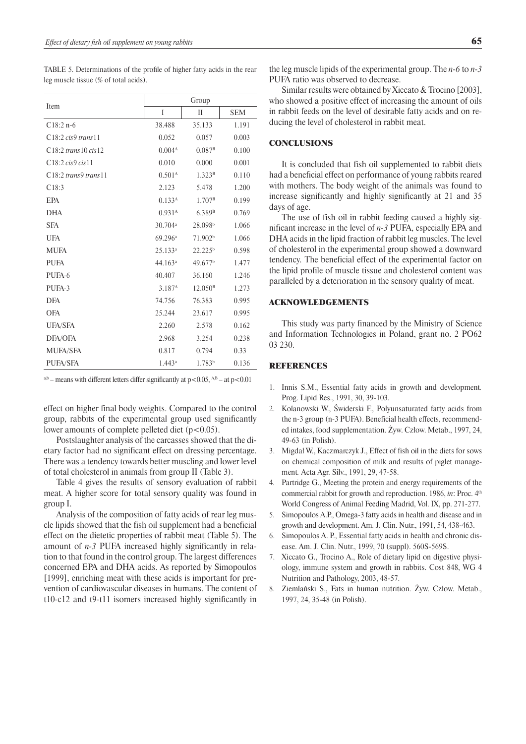Table 5. Determinations of the profile of higher fatty acids in the rear leg muscle tissue (% of total acids).

|                         | Group               |                     |            |  |
|-------------------------|---------------------|---------------------|------------|--|
| Item                    | I                   | $\mathbf{I}$        | <b>SEM</b> |  |
| $C18:2 n-6$             | 38.488              | 35.133              | 1.191      |  |
| C18:2 cis9 trans11      | 0.052               | 0.057               | 0.003      |  |
| $C18:2$ trans 10 cis 12 | 0.004 <sup>A</sup>  | $0.087^{\rm B}$     | 0.100      |  |
| C18:2 cis9 cis11        | 0.010               | 0.000               | 0.001      |  |
| $C18:2$ trans9 trans11  | 0.501 <sup>A</sup>  | 1.323 <sup>B</sup>  | 0.110      |  |
| C18:3                   | 2.123               | 5.478               | 1.200      |  |
| EPA                     | 0.133 <sup>A</sup>  | 1.707 <sup>B</sup>  | 0.199      |  |
| <b>DHA</b>              | 0.931 <sup>A</sup>  | 6.389 <sup>B</sup>  | 0.769      |  |
| <b>SFA</b>              | 30.704 <sup>a</sup> | 28.098 <sup>b</sup> | 1.066      |  |
| <b>UFA</b>              | 69.296 <sup>a</sup> | 71.902 <sup>b</sup> | 1.066      |  |
| <b>MUFA</b>             | 25.133a             | 22.225 <sup>b</sup> | 0.598      |  |
| <b>PUFA</b>             | 44.163a             | 49.677 <sup>b</sup> | 1.477      |  |
| PUFA-6                  | 40.407              | 36.160              | 1.246      |  |
| PUFA-3                  | 3.187 <sup>A</sup>  | 12.050 <sup>B</sup> | 1.273      |  |
| <b>DFA</b>              | 74.756              | 76.383              | 0.995      |  |
| <b>OFA</b>              | 25.244              | 23.617              | 0.995      |  |
| <b>UFA/SFA</b>          | 2.260               | 2.578               | 0.162      |  |
| DFA/OFA                 | 2.968               | 3.254               | 0.238      |  |
| <b>MUFA/SFA</b>         | 0.817               | 0.794               | 0.33       |  |
| <b>PUFA/SFA</b>         | 1.443a              | 1.783 <sup>b</sup>  | 0.136      |  |

 $a$ ,b – means with different letters differ significantly at p<0.05,  $A$ ,B – at p<0.01

effect on higher final body weights. Compared to the control group, rabbits of the experimental group used significantly lower amounts of complete pelleted diet (p<0.05).

Postslaughter analysis of the carcasses showed that the dietary factor had no significant effect on dressing percentage. There was a tendency towards better muscling and lower level of total cholesterol in animals from group II (Table 3).

Table 4 gives the results of sensory evaluation of rabbit meat. A higher score for total sensory quality was found in group I.

Analysis of the composition of fatty acids of rear leg muscle lipids showed that the fish oil supplement had a beneficial effect on the dietetic properties of rabbit meat (Table 5). The amount of *n-3* PUFA increased highly significantly in relation to that found in the control group. The largest differences concerned EPA and DHA acids. As reported by Simopoulos [1999], enriching meat with these acids is important for prevention of cardiovascular diseases in humans. The content of t10-c12 and t9-t11 isomers increased highly significantly in the leg muscle lipids of the experimental group. The *n-6* to *n-3* PUFA ratio was observed to decrease.

Similar results were obtained by Xiccato & Trocino [2003], who showed a positive effect of increasing the amount of oils in rabbit feeds on the level of desirable fatty acids and on reducing the level of cholesterol in rabbit meat.

## **CONCLUSIONS**

It is concluded that fish oil supplemented to rabbit diets had a beneficial effect on performance of young rabbits reared with mothers. The body weight of the animals was found to increase significantly and highly significantly at 21 and 35 days of age.

The use of fish oil in rabbit feeding caused a highly significant increase in the level of *n-3* PUFA, especially EPA and DHA acids in the lipid fraction of rabbit leg muscles. The level of cholesterol in the experimental group showed a downward tendency. The beneficial effect of the experimental factor on the lipid profile of muscle tissue and cholesterol content was paralleled by a deterioration in the sensory quality of meat.

## ACKNOWLEDGEMENTS

This study was party financed by the Ministry of Science and Information Technologies in Poland, grant no. 2 PO62 03 230.

## REFERENCES

- 1. Innis S.M., Essential fatty acids in growth and development*.*  Prog. Lipid Res., 1991, 30, 39-103.
- 2. Kolanowski W., Świderski F., Polyunsaturated fatty acids from the n-3 group (n-3 PUFA). Beneficial health effects, recommended intakes, food supplementation. Żyw. Człow. Metab., 1997, 24, 49-63 (in Polish).
- 3. Migdał W., Kaczmarczyk J., Effect of fish oil in the diets for sows on chemical composition of milk and results of piglet management*.* Acta Agr. Silv., 1991, 29, 47-58.
- 4. Partridge G., Meeting the protein and energy requirements of the commercial rabbit for growth and reproduction. 1986, *in*: Proc. 4<sup>th</sup> World Congress of Animal Feeding Madrid, Vol. IX, pp. 271-277.
- 5. Simopoulos A.P., Omega-3 fatty acids in health and disease and in growth and development. Am. J. Clin. Nutr., 1991, 54, 438-463.
- 6. Simopoulos A. P., Essential fatty acids in health and chronic disease. Am. J. Clin. Nutr., 1999, 70 (suppl). 560S-569S.
- 7. Xiccato G., Trocino A., Role of dietary lipid on digestive physiology, immune system and growth in rabbits. Cost 848, WG 4 Nutrition and Pathology, 2003, 48-57.
- 8. Ziemlański S., Fats in human nutrition. Żyw. Człow. Metab., 1997, 24, 35-48 (in Polish).